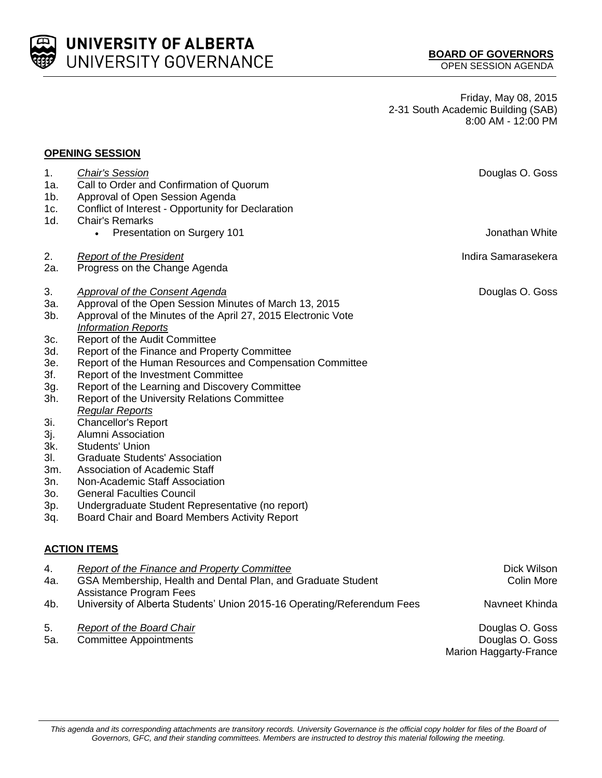

**UNIVERSITY OF ALBERTA** UNIVERSITY GOVERNANCE

Friday, May 08, 2015 2-31 South Academic Building (SAB) 8:00 AM - 12:00 PM

## **OPENING SESSION**

| 1.<br>1a.<br>$1b$ .<br>1c.<br>1d.                                                                                         | <b>Chair's Session</b><br>Call to Order and Confirmation of Quorum<br>Approval of Open Session Agenda<br>Conflict of Interest - Opportunity for Declaration<br><b>Chair's Remarks</b>                                                                                                                                                                                                                                                                                                                                                                                                                                                                                                                                                                                                                                                                   | Douglas O. Goss                                              |
|---------------------------------------------------------------------------------------------------------------------------|---------------------------------------------------------------------------------------------------------------------------------------------------------------------------------------------------------------------------------------------------------------------------------------------------------------------------------------------------------------------------------------------------------------------------------------------------------------------------------------------------------------------------------------------------------------------------------------------------------------------------------------------------------------------------------------------------------------------------------------------------------------------------------------------------------------------------------------------------------|--------------------------------------------------------------|
|                                                                                                                           | Presentation on Surgery 101<br>$\bullet$                                                                                                                                                                                                                                                                                                                                                                                                                                                                                                                                                                                                                                                                                                                                                                                                                | Jonathan White                                               |
| 2.<br>2a.                                                                                                                 | <b>Report of the President</b><br>Progress on the Change Agenda                                                                                                                                                                                                                                                                                                                                                                                                                                                                                                                                                                                                                                                                                                                                                                                         | Indira Samarasekera                                          |
| 3.<br>3a.<br>3b.<br>3c.<br>3d.<br>3e.<br>3f.<br>3g.<br>3h.<br>3i.<br>3j.<br>3k.<br>3l.<br>3m.<br>3n.<br>30.<br>3p.<br>3q. | <b>Approval of the Consent Agenda</b><br>Approval of the Open Session Minutes of March 13, 2015<br>Approval of the Minutes of the April 27, 2015 Electronic Vote<br><b>Information Reports</b><br>Report of the Audit Committee<br>Report of the Finance and Property Committee<br>Report of the Human Resources and Compensation Committee<br>Report of the Investment Committee<br>Report of the Learning and Discovery Committee<br>Report of the University Relations Committee<br><b>Regular Reports</b><br><b>Chancellor's Report</b><br><b>Alumni Association</b><br><b>Students' Union</b><br><b>Graduate Students' Association</b><br>Association of Academic Staff<br>Non-Academic Staff Association<br><b>General Faculties Council</b><br>Undergraduate Student Representative (no report)<br>Board Chair and Board Members Activity Report | Douglas O. Goss                                              |
|                                                                                                                           | <b>ACTION ITEMS</b>                                                                                                                                                                                                                                                                                                                                                                                                                                                                                                                                                                                                                                                                                                                                                                                                                                     |                                                              |
| 4.<br>4a.                                                                                                                 | <b>Report of the Finance and Property Committee</b><br>GSA Membership, Health and Dental Plan, and Graduate Student<br><b>Assistance Program Fees</b>                                                                                                                                                                                                                                                                                                                                                                                                                                                                                                                                                                                                                                                                                                   | Dick Wilson<br>Colin More                                    |
| 4b.                                                                                                                       | University of Alberta Students' Union 2015-16 Operating/Referendum Fees                                                                                                                                                                                                                                                                                                                                                                                                                                                                                                                                                                                                                                                                                                                                                                                 | Navneet Khinda                                               |
| 5.<br>5а.                                                                                                                 | <b>Report of the Board Chair</b><br><b>Committee Appointments</b>                                                                                                                                                                                                                                                                                                                                                                                                                                                                                                                                                                                                                                                                                                                                                                                       | Douglas O. Goss<br>Douglas O. Goss<br>Marion Haggarty-France |